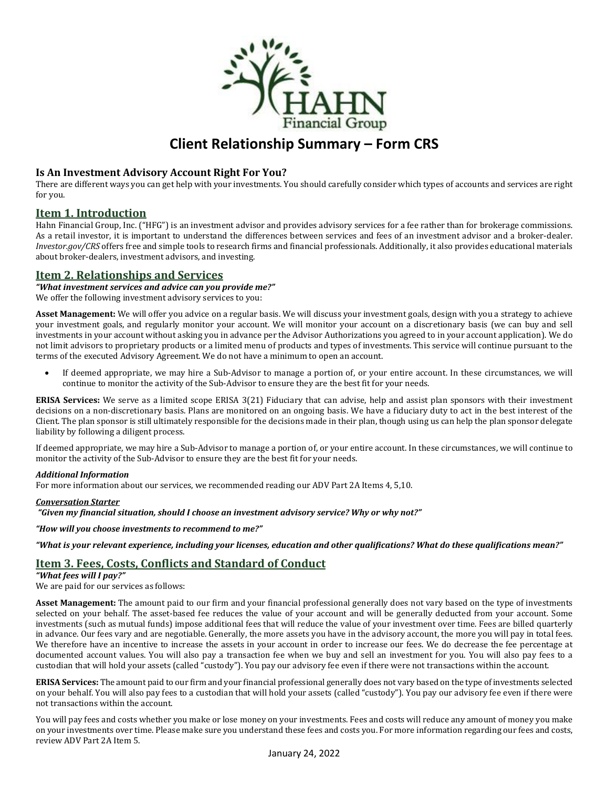

# **Client Relationship Summary – Form CRS**

# **Is An Investment Advisory Account Right For You?**

There are different ways you can get help with your investments. You should carefully consider which types of accounts and services are right for you.

# **Item 1. Introduction**

Hahn Financial Group, Inc. ("HFG") is an investment advisor and provides advisory services for a fee rather than for brokerage commissions. As a retail investor, it is important to understand the differences between services and fees of an investment advisor and a broker-dealer. *Investor.gov/CRS* offers free and simple tools to research firms and financial professionals. Additionally, it also provides educational materials about broker-dealers, investment advisors, and investing.

# **Item 2. Relationships and Services**

*"What investment services and advice can you provide me?"* We offer the following investment advisory services to you:

**Asset Management:** We will offer you advice on a regular basis. We will discuss your investment goals, design with you a strategy to achieve your investment goals, and regularly monitor your account. We will monitor your account on a discretionary basis (we can buy and sell investments in your account without asking you in advance per the Advisor Authorizations you agreed to in your account application). We do not limit advisors to proprietary products or a limited menu of products and types of investments. This service will continue pursuant to the terms of the executed Advisory Agreement. We do not have a minimum to open an account.

• If deemed appropriate, we may hire a Sub-Advisor to manage a portion of, or your entire account. In these circumstances, we will continue to monitor the activity of the Sub-Advisor to ensure they are the best fit for your needs.

**ERISA Services:** We serve as a limited scope ERISA 3(21) Fiduciary that can advise, help and assist plan sponsors with their investment decisions on a non-discretionary basis. Plans are monitored on an ongoing basis. We have a fiduciary duty to act in the best interest of the Client. The plan sponsor is still ultimately responsible for the decisions made in their plan, though using us can help the plan sponsor delegate liability by following a diligent process.

If deemed appropriate, we may hire a Sub-Advisor to manage a portion of, or your entire account. In these circumstances, we will continue to monitor the activity of the Sub-Advisor to ensure they are the best fit for your needs.

## *Additional Information*

For more information about our services, we recommended reading our ADV Part 2A Items 4, 5,10.

## *Conversation Starter*

*"Given my financial situation, should I choose an investment advisory service? Why or why not?"*

*"How will you choose investments to recommend to me?"*

*"What is your relevant experience, including your licenses, education and other qualifications? What do these qualifications mean?"*

# **Item 3. Fees, Costs, Conflicts and Standard of Conduct**

*"What fees will I pay?"*

We are paid for our services as follows:

**Asset Management:** The amount paid to our firm and your financial professional generally does not vary based on the type of investments selected on your behalf. The asset-based fee reduces the value of your account and will be generally deducted from your account. Some investments (such as mutual funds) impose additional fees that will reduce the value of your investment over time. Fees are billed quarterly in advance. Our fees vary and are negotiable. Generally, the more assets you have in the advisory account, the more you will pay in total fees. We therefore have an incentive to increase the assets in your account in order to increase our fees. We do decrease the fee percentage at documented account values. You will also pay a transaction fee when we buy and sell an investment for you. You will also pay fees to a custodian that will hold your assets (called "custody"). You pay our advisory fee even if there were not transactions within the account.

**ERISA Services:** The amount paid to our firm and your financial professional generally does not vary based on the type of investments selected on your behalf. You will also pay fees to a custodian that will hold your assets (called "custody"). You pay our advisory fee even if there were not transactions within the account.

You will pay fees and costs whether you make or lose money on your investments. Fees and costs will reduce any amount of money you make on your investments over time. Please make sure you understand these fees and costs you. For more information regarding our fees and costs, review ADV Part 2A Item 5.